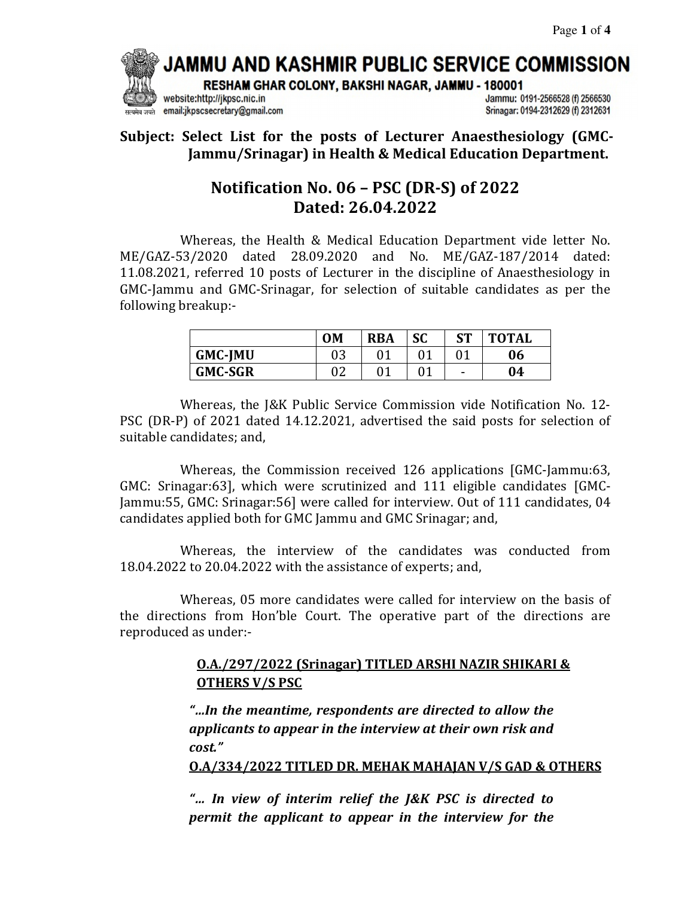# JAMMU AND KASHMIR PUBLIC SERVICE COMMISSION

RESHAM GHAR COLONY, BAKSHI NAGAR, JAMMU - 180001

website:http://jkpsc.nic.in email:jkpscsecretary@gmail.com Jammu: 0191-2566528 (f) 2566530 Srinagar: 0194-2312629 (f) 2312631

**Subject: Select List for the posts of Lecturer Anaesthesiology (GMC-Jammu/Srinagar) in Health & Medical Education Department.**

## **Notification No. 06 – PSC (DR-S) of 2022 Dated: 26.04.2022**

Whereas, the Health & Medical Education Department vide letter No. ME/GAZ-53/2020 dated 28.09.2020 and No. ME/GAZ-187/2014 dated: 11.08.2021, referred 10 posts of Lecturer in the discipline of Anaesthesiology in GMC-Jammu and GMC-Srinagar, for selection of suitable candidates as per the following breakup:-

|                | <b>OM</b> | <b>RBA</b> | <b>SC</b> | <b>ST</b> | <b>TOTAL</b> |
|----------------|-----------|------------|-----------|-----------|--------------|
| <b>GMC-JMU</b> | 03        |            |           |           | 06           |
| <b>GMC-SGR</b> |           |            | 01        | -         | 04           |

 Whereas, the J&K Public Service Commission vide Notification No. 12- PSC (DR-P) of 2021 dated 14.12.2021, advertised the said posts for selection of suitable candidates; and,

 Whereas, the Commission received 126 applications [GMC-Jammu:63, GMC: Srinagar:63], which were scrutinized and 111 eligible candidates [GMC-Jammu:55, GMC: Srinagar:56] were called for interview. Out of 111 candidates, 04 candidates applied both for GMC Jammu and GMC Srinagar; and,

 Whereas, the interview of the candidates was conducted from 18.04.2022 to 20.04.2022 with the assistance of experts; and,

 Whereas, 05 more candidates were called for interview on the basis of the directions from Hon'ble Court. The operative part of the directions are reproduced as under:-

### **O.A./297/2022 (Srinagar) TITLED ARSHI NAZIR SHIKARI & OTHERS V/S PSC**

*"…In the meantime, respondents are directed to allow the applicants to appear in the interview at their own risk and cost."* 

**O.A/334/2022 TITLED DR. MEHAK MAHAJAN V/S GAD & OTHERS** 

*"… In view of interim relief the J&K PSC is directed to permit the applicant to appear in the interview for the*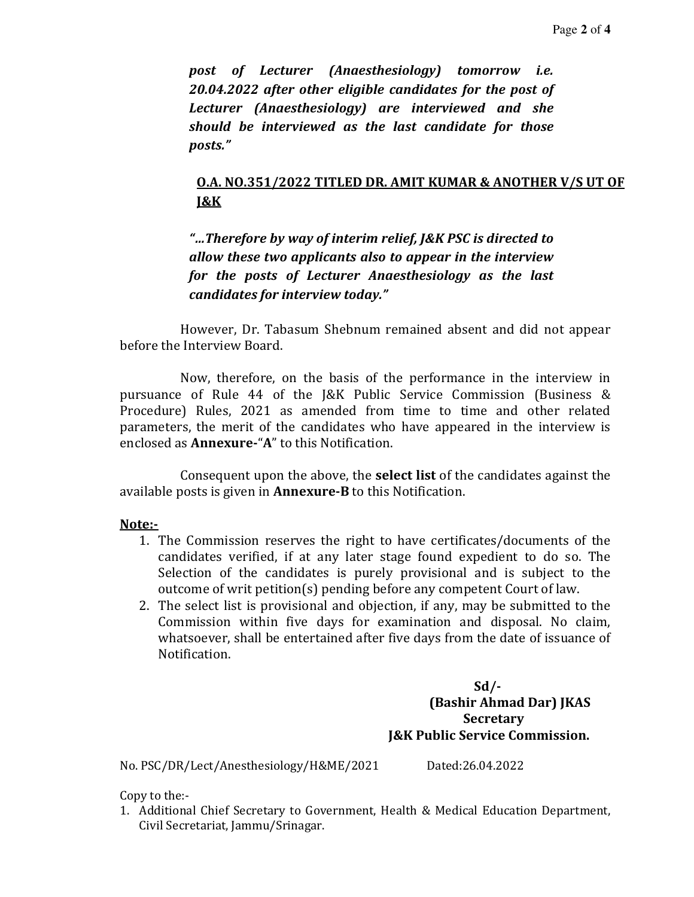*post of Lecturer (Anaesthesiology) tomorrow i.e. 20.04.2022 after other eligible candidates for the post of Lecturer (Anaesthesiology) are interviewed and she should be interviewed as the last candidate for those posts."* 

### **O.A. NO.351/2022 TITLED DR. AMIT KUMAR & ANOTHER V/S UT OF J&K**

*"…Therefore by way of interim relief, J&K PSC is directed to allow these two applicants also to appear in the interview for the posts of Lecturer Anaesthesiology as the last candidates for interview today."* 

 However, Dr. Tabasum Shebnum remained absent and did not appear before the Interview Board.

 Now, therefore, on the basis of the performance in the interview in pursuance of Rule 44 of the J&K Public Service Commission (Business & Procedure) Rules, 2021 as amended from time to time and other related parameters, the merit of the candidates who have appeared in the interview is enclosed as **Annexure-**"**A**" to this Notification.

 Consequent upon the above, the **select list** of the candidates against the available posts is given in **Annexure-B** to this Notification.

#### **Note:-**

- 1. The Commission reserves the right to have certificates/documents of the candidates verified, if at any later stage found expedient to do so. The Selection of the candidates is purely provisional and is subject to the outcome of writ petition(s) pending before any competent Court of law.
- 2. The select list is provisional and objection, if any, may be submitted to the Commission within five days for examination and disposal. No claim, whatsoever, shall be entertained after five days from the date of issuance of Notification.

 **Sd/- (Bashir Ahmad Dar) JKAS Secretary J&K Public Service Commission.** 

No. PSC/DR/Lect/Anesthesiology/H&ME/2021 Dated:26.04.2022

Copy to the:-

1. Additional Chief Secretary to Government, Health & Medical Education Department, Civil Secretariat, Jammu/Srinagar.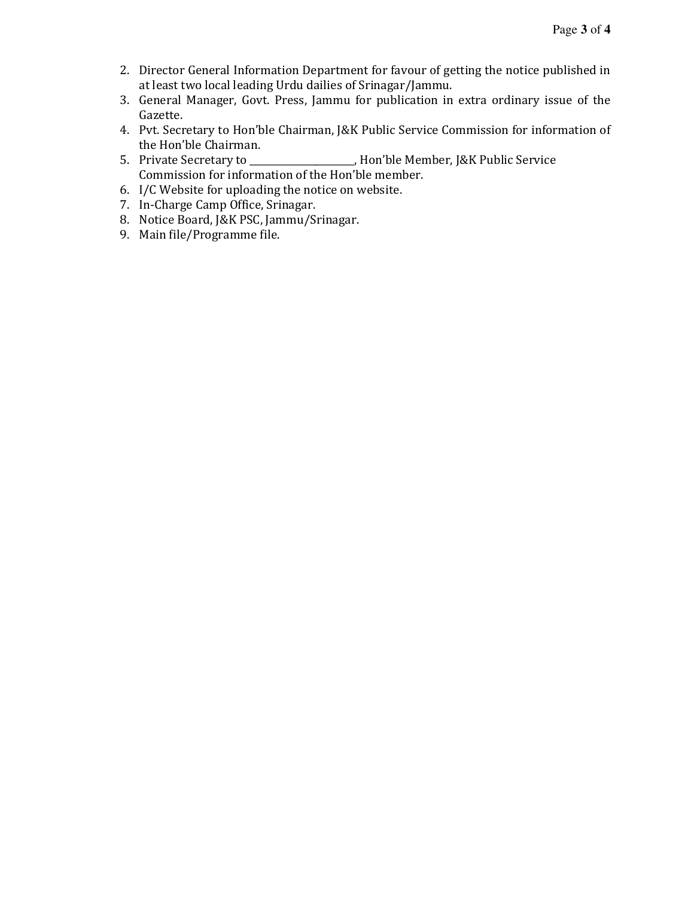- 2. Director General Information Department for favour of getting the notice published in at least two local leading Urdu dailies of Srinagar/Jammu.
- 3. General Manager, Govt. Press, Jammu for publication in extra ordinary issue of the Gazette.
- 4. Pvt. Secretary to Hon'ble Chairman, J&K Public Service Commission for information of the Hon'ble Chairman.
- 5. Private Secretary to \_\_\_\_\_\_\_\_\_\_\_\_\_\_\_\_\_\_\_\_\_\_, Hon'ble Member, J&K Public Service Commission for information of the Hon'ble member.
- 6. I/C Website for uploading the notice on website.
- 7. In-Charge Camp Office, Srinagar.
- 8. Notice Board, J&K PSC, Jammu/Srinagar.
- 9. Main file/Programme file.